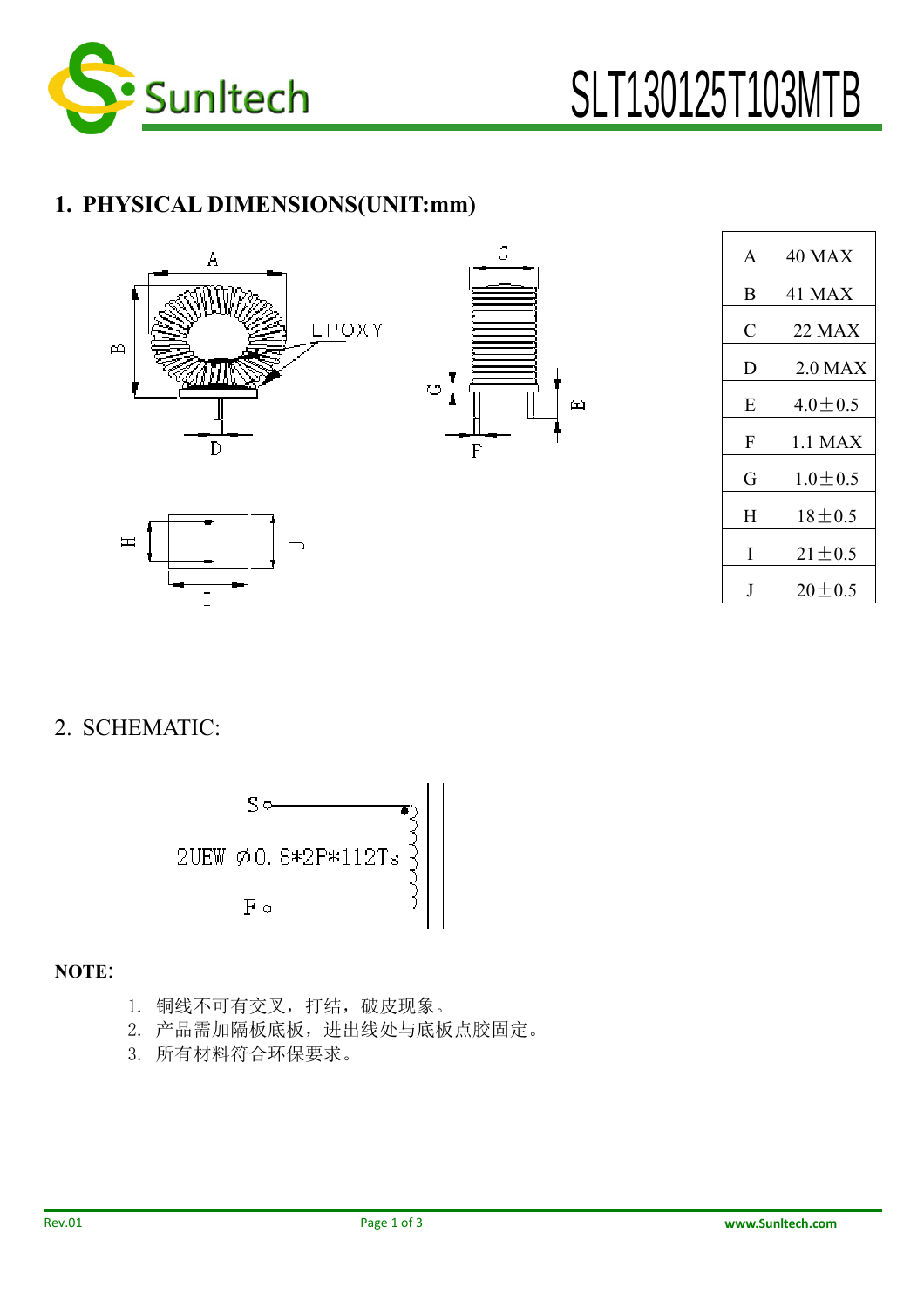

## 1. PHYSICAL DIMENSIONS(UNIT:mm)



I



| $\mathsf{A}$   | 40 MAX        |
|----------------|---------------|
| B              | <b>41 MAX</b> |
| $\overline{C}$ | 22 MAX        |
| D              | $2.0$ MAX     |
| Е              | $4.0 \pm 0.5$ |
| F              | 1.1 MAX       |
| G              | $1.0 \pm 0.5$ |
| H              | $18 + 0.5$    |
| I              | $21 \pm 0.5$  |
|                | $20 \pm 0.5$  |

2. SCHEMATIC:

 $\mathbb{H}$ 



NOTE:

- 1. 铜线不可有交叉,打结,破皮现象。
- 2. 产品需加隔板底板,进出线处与底板点胶固定。
- 3. 所有材料符合环保要求。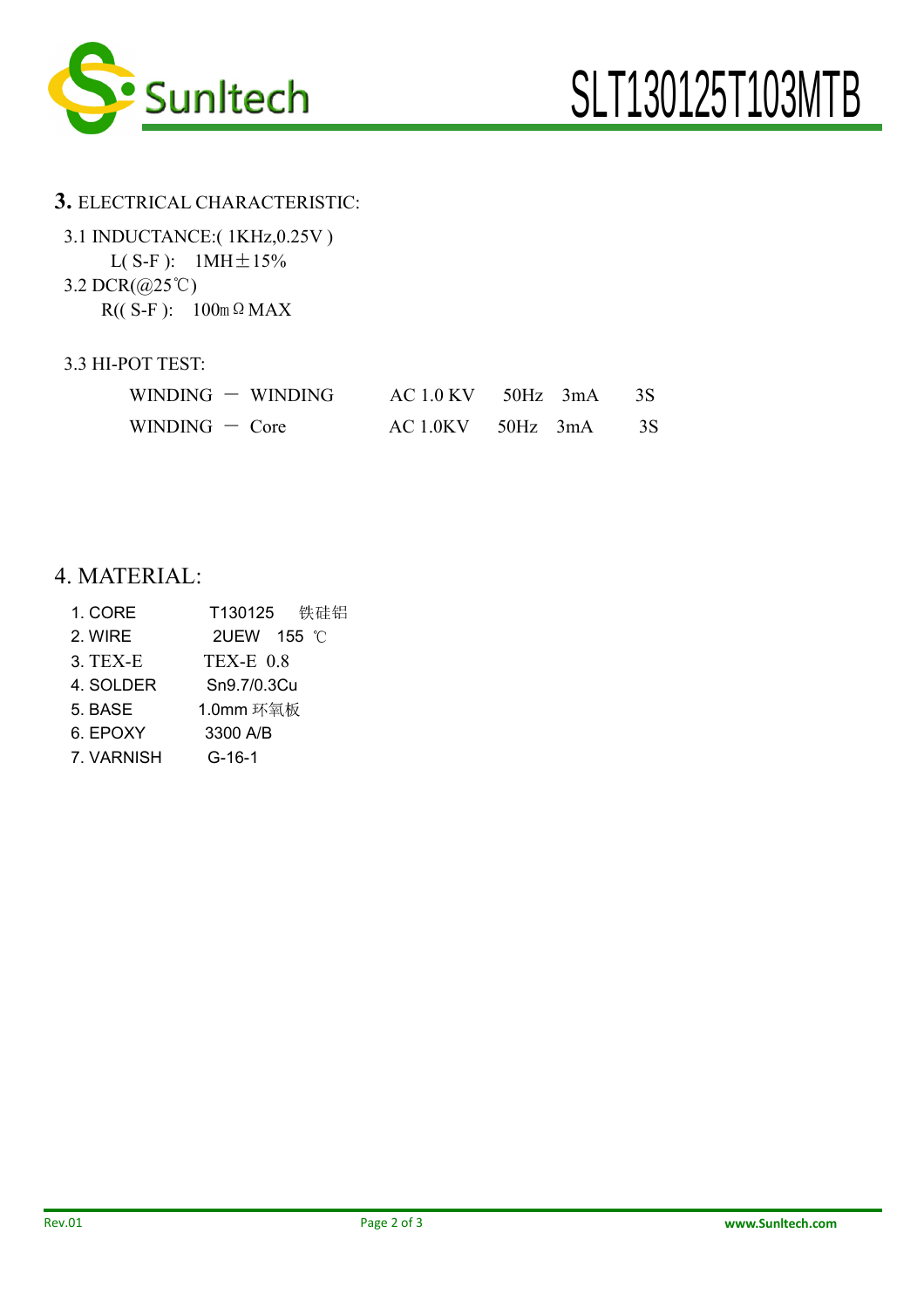

#### 3. ELECTRICAL CHARACTERISTIC:

| 3.1 INDUCTANCE:(1KHz,0.25V)                          |  |  |  |  |
|------------------------------------------------------|--|--|--|--|
| $L(S-F)$ : 1MH $\pm$ 15%                             |  |  |  |  |
| 3.2 DCR $(\textcircled{a}25^{\circ}\textcircled{c})$ |  |  |  |  |
| $R((S-F): 100m \Omega MAX$                           |  |  |  |  |

#### 3.3 HI-POT TEST:

| $WINDING - WINDING$ | $AC 1.0$ KV $50$ Hz $3$ mA $3S$ |    |
|---------------------|---------------------------------|----|
| $WINDING - Core$    | $AC 1.0$ KV $50$ Hz $3$ mA      | 3S |

### 4. MATERIAL:

1. CORE T130125 铁硅铝 2. WIRE 2UEW 155 ℃ 3. TEX-E TEX-E 0.8 4. SOLDER Sn9.7/0.3Cu 5. BASE 1.0mm 环氧板 6. EPOXY 3300 A/B 7. VARNISH G-16-1